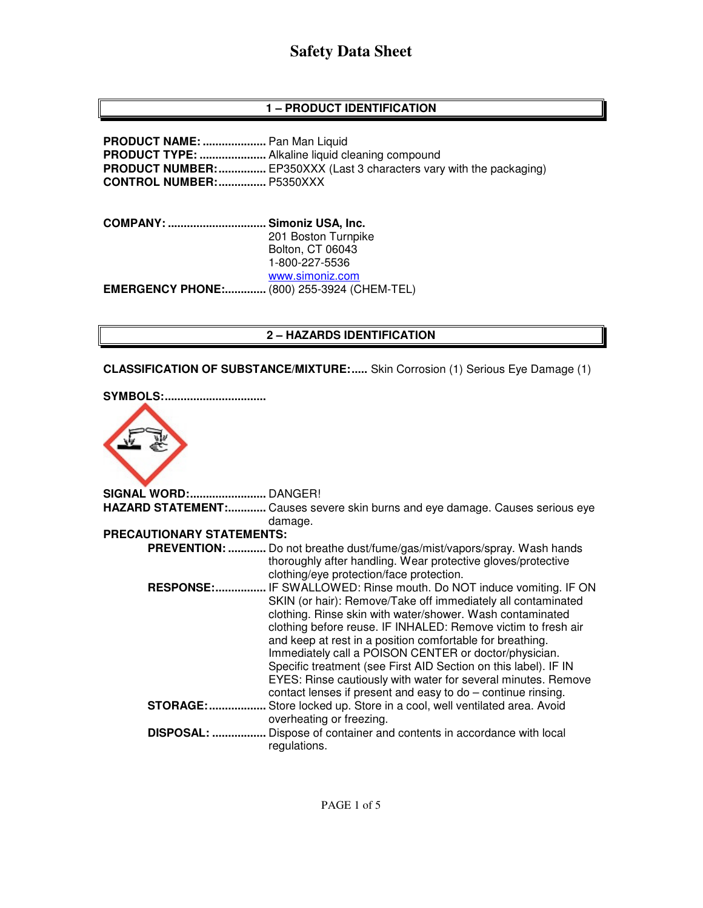# **1 – PRODUCT IDENTIFICATION**

**PRODUCT NAME: ....................** Pan Man Liquid **PRODUCT TYPE: .....................** Alkaline liquid cleaning compound **PRODUCT NUMBER:** ................. EP350XXX (Last 3 characters vary with the packaging) **CONTROL NUMBER: ...............** P5350XXX

**COMPANY: ............................... Simoniz USA, Inc.** 201 Boston Turnpike Bolton, CT 06043 1-800-227-5536 www.simoniz.com **EMERGENCY PHONE:.............** (800) 255-3924 (CHEM-TEL)

## **2 – HAZARDS IDENTIFICATION**

**CLASSIFICATION OF SUBSTANCE/MIXTURE: .....** Skin Corrosion (1) Serious Eye Damage (1)

| <b>SYMBOLS:.</b><br>             |                                                                                                                                                                                                                                                                                                                                                                                                                                                                                                                                                                                  |
|----------------------------------|----------------------------------------------------------------------------------------------------------------------------------------------------------------------------------------------------------------------------------------------------------------------------------------------------------------------------------------------------------------------------------------------------------------------------------------------------------------------------------------------------------------------------------------------------------------------------------|
|                                  |                                                                                                                                                                                                                                                                                                                                                                                                                                                                                                                                                                                  |
|                                  |                                                                                                                                                                                                                                                                                                                                                                                                                                                                                                                                                                                  |
|                                  | HAZARD STATEMENT: Causes severe skin burns and eye damage. Causes serious eye                                                                                                                                                                                                                                                                                                                                                                                                                                                                                                    |
|                                  | damage.                                                                                                                                                                                                                                                                                                                                                                                                                                                                                                                                                                          |
| <b>PRECAUTIONARY STATEMENTS:</b> |                                                                                                                                                                                                                                                                                                                                                                                                                                                                                                                                                                                  |
|                                  | PREVENTION:  Do not breathe dust/fume/gas/mist/vapors/spray. Wash hands<br>thoroughly after handling. Wear protective gloves/protective<br>clothing/eye protection/face protection.                                                                                                                                                                                                                                                                                                                                                                                              |
| <b>RESPONSE:</b>                 | IF SWALLOWED: Rinse mouth. Do NOT induce vomiting. IF ON<br>SKIN (or hair): Remove/Take off immediately all contaminated<br>clothing. Rinse skin with water/shower. Wash contaminated<br>clothing before reuse. IF INHALED: Remove victim to fresh air<br>and keep at rest in a position comfortable for breathing.<br>Immediately call a POISON CENTER or doctor/physician.<br>Specific treatment (see First AID Section on this label). IF IN<br>EYES: Rinse cautiously with water for several minutes. Remove<br>contact lenses if present and easy to do - continue rinsing. |
| <b>STORAGE: </b>                 | Store locked up. Store in a cool, well ventilated area. Avoid                                                                                                                                                                                                                                                                                                                                                                                                                                                                                                                    |
| <b>DISPOSAL: </b>                | overheating or freezing.<br>Dispose of container and contents in accordance with local<br>regulations.                                                                                                                                                                                                                                                                                                                                                                                                                                                                           |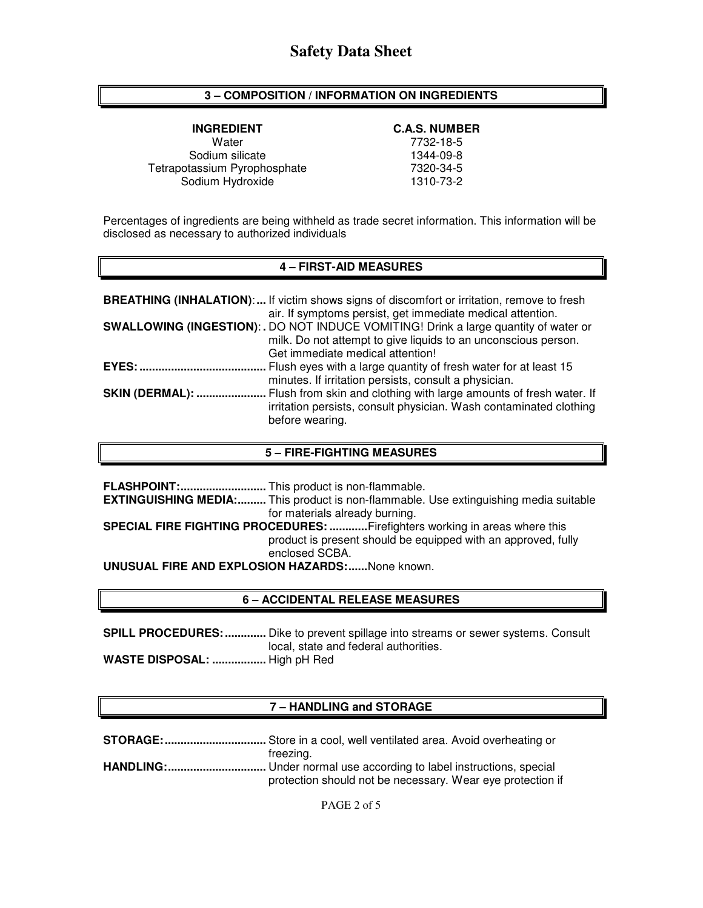## **3 – COMPOSITION / INFORMATION ON INGREDIENTS**

Water 7732-18-5 Sodium silicate<br>
1344-09-8 (assium Pyrophosphate 1345) Tetrapotassium Pyrophosphate Sodium Hydroxide 1310-73-2

### **INGREDIENT C.A.S. NUMBER**

Percentages of ingredients are being withheld as trade secret information. This information will be disclosed as necessary to authorized individuals

#### **4 – FIRST-AID MEASURES**

|                        | <b>BREATHING (INHALATION):</b> If victim shows signs of discomfort or irritation, remove to fresh<br>air. If symptoms persist, get immediate medical attention.                            |
|------------------------|--------------------------------------------------------------------------------------------------------------------------------------------------------------------------------------------|
|                        | SWALLOWING (INGESTION): . DO NOT INDUCE VOMITING! Drink a large quantity of water or<br>milk. Do not attempt to give liquids to an unconscious person.<br>Get immediate medical attention! |
| EYES:                  | Flush eyes with a large quantity of fresh water for at least 15<br>minutes. If irritation persists, consult a physician.                                                                   |
| <b>SKIN (DERMAL): </b> | Flush from skin and clothing with large amounts of fresh water. If<br>irritation persists, consult physician. Wash contaminated clothing<br>before wearing.                                |

### **5 – FIRE-FIGHTING MEASURES**

**FLASHPOINT: ...........................** This product is non-flammable. **EXTINGUISHING MEDIA:.........** This product is non-flammable. Use extinguishing media suitable for materials already burning. **SPECIAL FIRE FIGHTING PROCEDURES: ............** Firefighters working in areas where this product is present should be equipped with an approved, fully enclosed SCBA. **UNUSUAL FIRE AND EXPLOSION HAZARDS: ......** None known.

## **6 – ACCIDENTAL RELEASE MEASURES**

**SPILL PROCEDURES: .............** Dike to prevent spillage into streams or sewer systems. Consult local, state and federal authorities. **WASTE DISPOSAL: .................** High pH Red

## **7 – HANDLING and STORAGE**

| freezing.                                                  |
|------------------------------------------------------------|
|                                                            |
| protection should not be necessary. Wear eye protection if |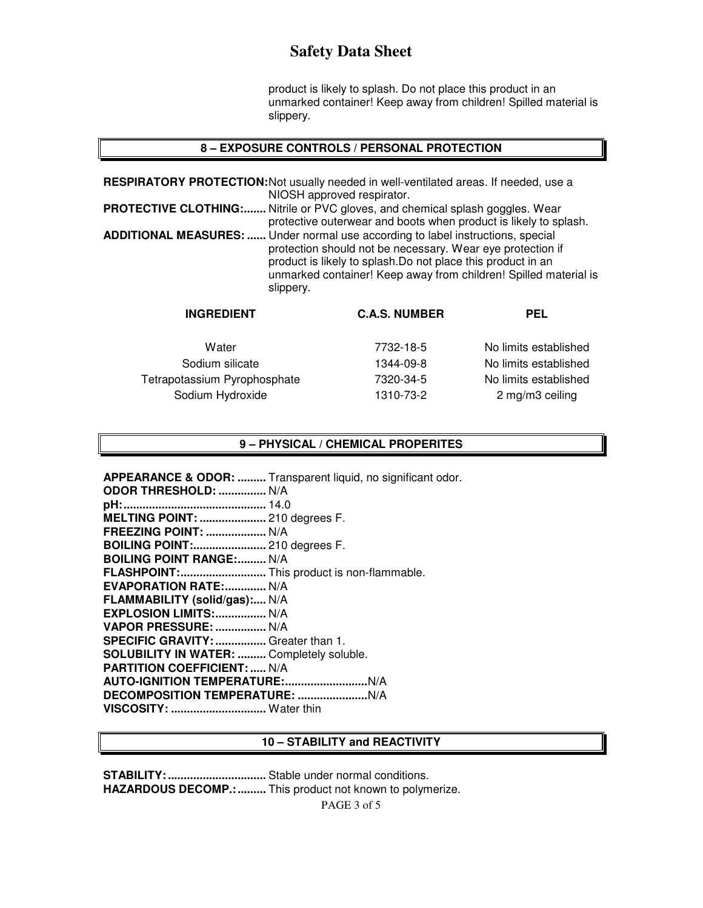product is likely to splash. Do not place this product in an unmarked container! Keep away from children! Spilled material is slippery.

### **8 – EXPOSURE CONTROLS / PERSONAL PROTECTION**

**RESPIRATORY PROTECTION:** Not usually needed in well-ventilated areas. If needed, use a NIOSH approved respirator. **PROTECTIVE CLOTHING:.......** Nitrile or PVC gloves, and chemical splash goggles. Wear protective outerwear and boots when product is likely to splash. **ADDITIONAL MEASURES: ......** Under normal use according to label instructions, special protection should not be necessary. Wear eye protection if product is likely to splash.Do not place this product in an unmarked container! Keep away from children! Spilled material is slippery.

| <b>INGREDIENT</b>                                | <b>C.A.S. NUMBER</b>   | <b>PEL</b>                               |
|--------------------------------------------------|------------------------|------------------------------------------|
| Water                                            | 7732-18-5              | No limits established                    |
| Sodium silicate                                  | 1344-09-8              | No limits established                    |
| Tetrapotassium Pyrophosphate<br>Sodium Hydroxide | 7320-34-5<br>1310-73-2 | No limits established<br>2 mg/m3 ceiling |
|                                                  |                        |                                          |

#### **9 – PHYSICAL / CHEMICAL PROPERITES**

**APPEARANCE & ODOR: .........** Transparent liquid, no significant odor.

| ODOR THRESHOLD:  N/A                       |  |
|--------------------------------------------|--|
|                                            |  |
| MELTING POINT:  210 degrees F.             |  |
| <b>FREEZING POINT:  N/A</b>                |  |
| <b>BOILING POINT: 210 degrees F.</b>       |  |
| <b>BOILING POINT RANGE: N/A</b>            |  |
| FLASHPOINT: This product is non-flammable. |  |
| <b>EVAPORATION RATE: N/A</b>               |  |
| FLAMMABILITY (solid/gas): N/A              |  |
| EXPLOSION LIMITS:  N/A                     |  |
| VAPOR PRESSURE:  N/A                       |  |
| SPECIFIC GRAVITY:  Greater than 1.         |  |
| SOLUBILITY IN WATER:  Completely soluble.  |  |
| <b>PARTITION COEFFICIENT:  N/A</b>         |  |
|                                            |  |
|                                            |  |
| VISCOSITY:  Water thin                     |  |
|                                            |  |

#### **10 – STABILITY and REACTIVITY**

PAGE 3 of 5 **STABILITY: ...............................** Stable under normal conditions. **HAZARDOUS DECOMP.: .........** This product not known to polymerize.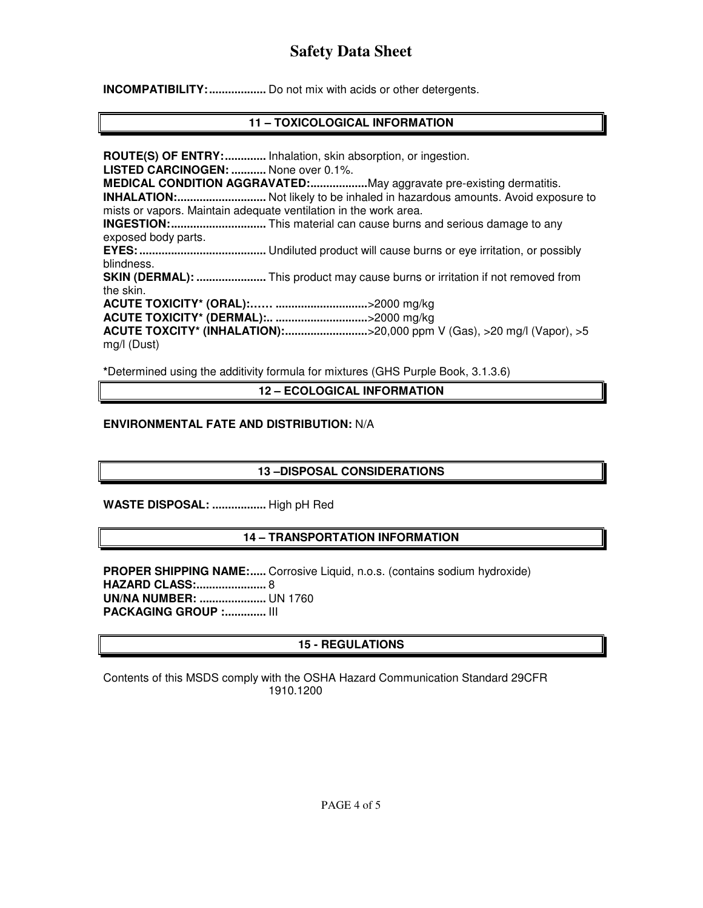**INCOMPATIBILITY: ..................** Do not mix with acids or other detergents.

# **11 – TOXICOLOGICAL INFORMATION**

**ROUTE(S) OF ENTRY: .............** Inhalation, skin absorption, or ingestion. **LISTED CARCINOGEN: ...........** None over 0.1%. **MEDICAL CONDITION AGGRAVATED: ..................** May aggravate pre-existing dermatitis. **INHALATION: ............................** Not likely to be inhaled in hazardous amounts. Avoid exposure to mists or vapors. Maintain adequate ventilation in the work area. **INGESTION: ..............................** This material can cause burns and serious damage to any exposed body parts. **EYES: ........................................** Undiluted product will cause burns or eye irritation, or possibly blindness. **SKIN (DERMAL): .......................** This product may cause burns or irritation if not removed from the skin. **ACUTE TOXICITY\* (ORAL):…… .............................** >2000 mg/kg **ACUTE TOXICITY\* (DERMAL):.. .............................** >2000 mg/kg **ACUTE TOXCITY\* (INHALATION): ..........................** >20,000 ppm V (Gas), >20 mg/l (Vapor), >5 mg/l (Dust)

**\***Determined using the additivity formula for mixtures (GHS Purple Book, 3.1.3.6)

**12 – ECOLOGICAL INFORMATION** 

## **ENVIRONMENTAL FATE AND DISTRIBUTION:** N/A

# **13 –DISPOSAL CONSIDERATIONS**

**WASTE DISPOSAL: .................** High pH Red

# **14 – TRANSPORTATION INFORMATION**

**PROPER SHIPPING NAME:.....** Corrosive Liquid, n.o.s. (contains sodium hydroxide) **HAZARD CLASS: ......................** 8 **UN/NA NUMBER: .....................** UN 1760 **PACKAGING GROUP :.............. III** 

# **15 - REGULATIONS**

Contents of this MSDS comply with the OSHA Hazard Communication Standard 29CFR 1910.1200